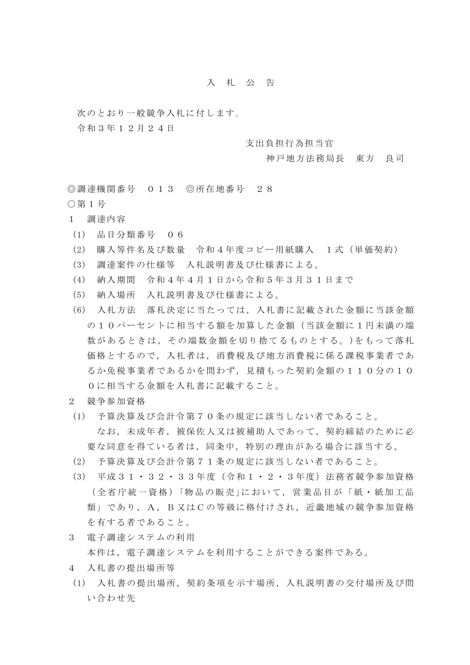## 入 札 公 告

次のとおり一般競争入札に付します。

令和3年12月24日

支出負担行為担当官

神戸地方法務局長 東方 良司

◎調達機関番号 013 ◎所在地番号 28 ○第1号

- 1 調達内容
- (1) 品目分類番号 06
- (2) 購入等件名及び数量 令和4年度コピー用紙購入 1式(単価契約)
- (3) 調達案件の仕様等 入札説明書及び仕様書による。
- (4) 納入期間 令和4年4月1日から令和5年3月31日まで
- (5) 納入場所 入札説明書及び仕様書による。
- (6) 入札方法 落札決定に当たっては,入札書に記載された金額に当該金額 の10パーセントに相当する額を加算した金額(当該金額に1円未満の端 数があるときは,その端数金額を切り捨てるものとする。)をもって落札 価格とするので,入札者は,消費税及び地方消費税に係る課税事業者であ るか免税事業者であるかを問わず,見積もった契約金額の110分の10 0に相当する金額を入札書に記載すること。
- 2 競争参加資格
- (1) 予算決算及び会計令第70条の規定に該当しない者であること。 なお,未成年者,被保佐人又は被補助人であって,契約締結のために必 要な同意を得ている者は,同条中,特別の理由がある場合に該当する。
- (2) 予算決算及び会計令第71条の規定に該当しない者であること。
- (3) 平成31・32・33年度(令和1・2・3年度)法務省競争参加資格 (全省庁統一資格)「物品の販売」において、営業品目が「紙・紙加工品 類」であり, A, B又はCの等級に格付けされ, 近畿地域の競争参加資格 を有する者であること。
- 3 電子調達システムの利用 本件は,電子調達システムを利用することができる案件である。
- 4 入札書の提出場所等
- (1) 入札書の提出場所,契約条項を示す場所,入札説明書の交付場所及び問 い合わせ先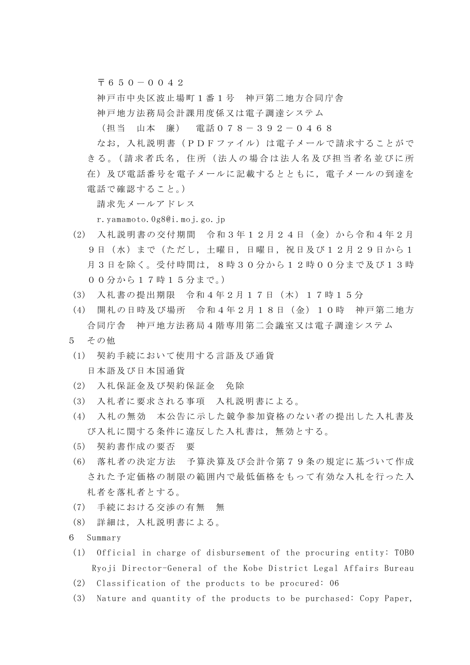$\overline{7}650-0042$ 

神戸市中央区波止場町1番1号 神戸第二地方合同庁舎 神戸地方法務局会計課用度係又は電子調達システム

(担当 山本 廉) 電話078-392-0468

なお,入札説明書(PDFファイル)は電子メールで請求することがで さる。(請求者氏名, 住所(法人の場合は法人名及び担当者名並びに所 在)及び電話番号を電子メールに記載するとともに,電子メールの到達を 電話で確認すること。)

請求先メールアドレス

r.yamamoto.0g8@i.moj.go.jp

- (2) 入札説明書の交付期間 令和3年12月24日(金)から令和4年2月 9日(水)まで(ただし、土曜日,日曜日,祝日及び12月29日から1 月3日を除く。受付時間は,8時30分から12時00分まで及び13時 00分から17時15分まで。)
- (3) 入札書の提出期限 令和4年2月17日(木)17時15分
- (4) 開札の日時及び場所 令和4年2月18日(金)10時 神戸第二地方 合同庁舎 神戸地方法務局4階専用第二会議室又は電子調達システム
- 5 その他
- (1) 契約手続において使用する言語及び通貨 日本語及び日本国通貨
- (2) 入札保証金及び契約保証金 免除
- (3) 入札者に要求される事項 入札説明書による。
- (4) 入札の無効 本公告に示した競争参加資格のない者の提出した入札書及 び入札に関する条件に違反した入札書は,無効とする。
- (5) 契約書作成の要否 要
- (6) 落札者の決定方法 予算決算及び会計令第79条の規定に基づいて作成 された予定価格の制限の範囲内で最低価格をもって有効な入札を行った入 札者を落札者とする。
- (7) 手続における交渉の有無 無
- (8) 詳細は,入札説明書による。
- 6 Summary
- (1) Official in charge of disbursement of the procuring entity: TOBO Ryoji Director-General of the Kobe District Legal Affairs Bureau
- (2) Classification of the products to be procured: 06
- (3) Nature and quantity of the products to be purchased: Copy Paper,